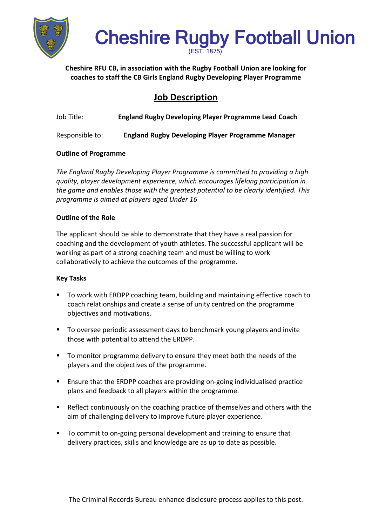

# Cheshire Rugby Football Union

**Cheshire RFU CB, in association with the Rugby Football Union are looking for coaches to staff the CB Girls England Rugby Developing Player Programme**

# **Job Description**

| Job Title: | <b>England Rugby Developing Player Programme Lead Coach</b> |  |
|------------|-------------------------------------------------------------|--|
|            |                                                             |  |

Responsible to: **England Rugby Developing Player Programme Manager**

### **Outline of Programme**

*The England Rugby Developing Player Programme is committed to providing a high quality, player development experience, which encourages lifelong participation in the game and enables those with the greatest potential to be clearly identified. This programme is aimed at players aged Under 16*

#### **Outline of the Role**

The applicant should be able to demonstrate that they have a real passion for coaching and the development of youth athletes. The successful applicant will be working as part of a strong coaching team and must be willing to work collaboratively to achieve the outcomes of the programme.

#### **Key Tasks**

- To work with ERDPP coaching team, building and maintaining effective coach to coach relationships and create a sense of unity centred on the programme objectives and motivations.
- To oversee periodic assessment days to benchmark young players and invite those with potential to attend the ERDPP.
- To monitor programme delivery to ensure they meet both the needs of the players and the objectives of the programme.
- Ensure that the ERDPP coaches are providing on-going individualised practice plans and feedback to all players within the programme.
- Reflect continuously on the coaching practice of themselves and others with the aim of challenging delivery to improve future player experience.
- To commit to on-going personal development and training to ensure that delivery practices, skills and knowledge are as up to date as possible.